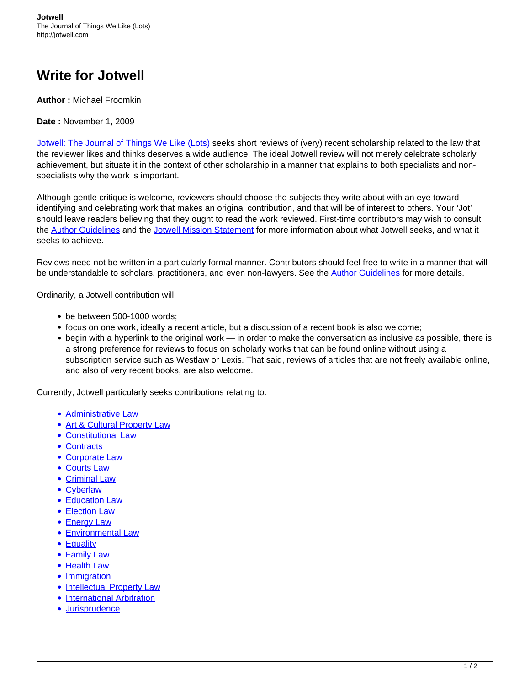## **Write for Jotwell**

**Author :** Michael Froomkin

**Date :** November 1, 2009

[Jotwell: The Journal of Things We Like \(Lots\)](https://jotwell.com/) seeks short reviews of (very) recent scholarship related to the law that the reviewer likes and thinks deserves a wide audience. The ideal Jotwell review will not merely celebrate scholarly achievement, but situate it in the context of other scholarship in a manner that explains to both specialists and nonspecialists why the work is important.

Although gentle critique is welcome, reviewers should choose the subjects they write about with an eye toward identifying and celebrating work that makes an original contribution, and that will be of interest to others. Your 'Jot' should leave readers believing that they ought to read the work reviewed. First-time contributors may wish to consult the [Author Guidelines](https://jotwell.com/style-guide/) and the [Jotwell Mission Statement](https://jotwell.com/mission-statement/) for more information about what Jotwell seeks, and what it seeks to achieve.

Reviews need not be written in a particularly formal manner. Contributors should feel free to write in a manner that will be understandable to scholars, practitioners, and even non-lawyers. See the [Author Guidelines](https://jotwell.com/style-guide/) for more details.

Ordinarily, a Jotwell contribution will

- be between 500-1000 words;
- focus on one work, ideally a recent article, but a discussion of a recent book is also welcome;
- begin with a hyperlink to the original work in order to make the conversation as inclusive as possible, there is a strong preference for reviews to focus on scholarly works that can be found online without using a subscription service such as Westlaw or Lexis. That said, reviews of articles that are not freely available online, and also of very recent books, are also welcome.

Currently, Jotwell particularly seeks contributions relating to:

- [Administrative Law](https://adlaw.jotwell.com/)
- [Art & Cultural Property Law](https://lex.jotwell.com/)
- [Constitutional Law](https://conlaw.jotwell.com/ target=)
- [Contracts](https://contracts.jotwell.com)
- [Corporate Law](https://corp.jotwell.com/)
- [Courts Law](https://courtslaw.jotwell.com/)
- [Criminal Law](https://crim.jotwell.com/)
- [Cyberlaw](https://cyber.jotwell.com/)
- [Education Law](https://lex.jotwell.com/)
- [Election Law](https://lex.jotwell.com/)
- [Energy Law](https://lex.jotwell.com/)
- **[Environmental Law](https://lex.jotwell.com/)**
- [Equality](https://equality.jotwell.com/)
- [Family Law](https://family.jotwell.com/)
- [Health Law](https://health.jotwell.com/)
- [Immigration](https://lex.jotwell.com/)
- [Intellectual Property Law](https://ip.jotwell.com/)
- **[International Arbitration](https://lex.jotwell.com/)**
- [Jurisprudence](https://juris.jotwell.com/)